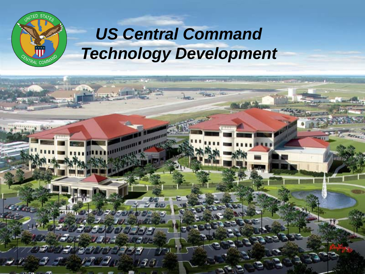

# *US Central Command Technology Development*

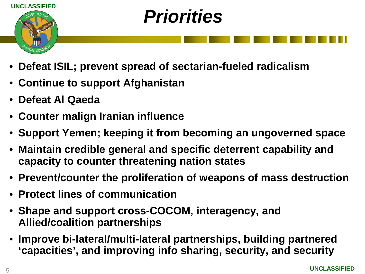

# *Priorities*

- **Defeat ISIL; prevent spread of sectarian-fueled radicalism**
- **Continue to support Afghanistan**
- **Defeat Al Qaeda**
- **Counter malign Iranian influence**
- **Support Yemen; keeping it from becoming an ungoverned space**
- **Maintain credible general and specific deterrent capability and capacity to counter threatening nation states**
- **Prevent/counter the proliferation of weapons of mass destruction**
- **Protect lines of communication**
- **Shape and support cross-COCOM, interagency, and Allied/coalition partnerships**
- **Improve bi-lateral/multi-lateral partnerships, building partnered 'capacities', and improving info sharing, security, and security**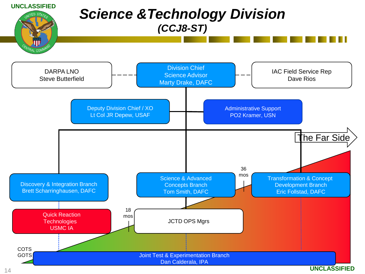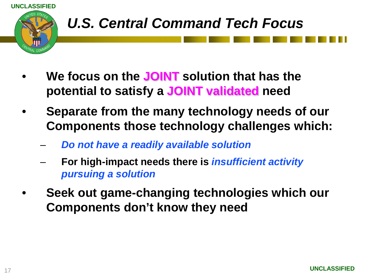

- **We focus on the JOINT solution that has the potential to satisfy a JOINT validated need**
- **Separate from the many technology needs of our Components those technology challenges which:**
	- *Do not have a readily available solution*
	- **For high-impact needs there is** *insufficient activity pursuing a solution*
- **Seek out game-changing technologies which our Components don't know they need**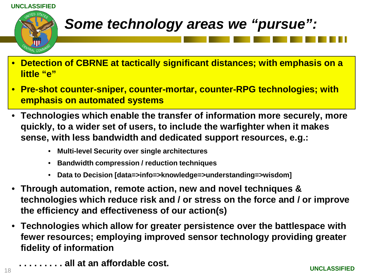



## *Some technology areas we "pursue":*

- **Detection of CBRNE at tactically significant distances; with emphasis on a little "e"**
- **Pre-shot counter-sniper, counter-mortar, counter-RPG technologies; with emphasis on automated systems**
- **Technologies which enable the transfer of information more securely, more quickly, to a wider set of users, to include the warfighter when it makes sense, with less bandwidth and dedicated support resources, e.g.:**
	- **Multi-level Security over single architectures**
	- **Bandwidth compression / reduction techniques**
	- **Data to Decision [data=>info=>knowledge=>understanding=>wisdom]**
- **Through automation, remote action, new and novel techniques & technologies which reduce risk and / or stress on the force and / or improve the efficiency and effectiveness of our action(s)**
- **Technologies which allow for greater persistence over the battlespace with fewer resources; employing improved sensor technology providing greater fidelity of information**
	- **. . . . . . . . . all at an affordable cost.**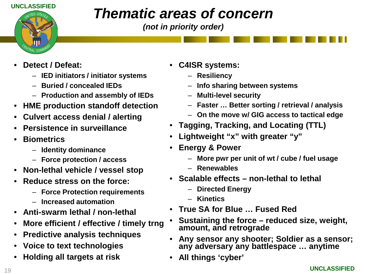#### **UNCLASSIFIED**



## *Thematic areas of concern*

*(not in priority order)*

- **Detect / Defeat:**
	- **IED initiators / initiator systems**
	- **Buried / concealed IEDs**
	- **Production and assembly of IEDs**
- **HME production standoff detection**
- **Culvert access denial / alerting**
- **Persistence in surveillance**
- **Biometrics**
	- **Identity dominance**
	- **Force protection / access**
- **Non-lethal vehicle / vessel stop**
- **Reduce stress on the force:**
	- **Force Protection requirements**
	- **Increased automation**
- **Anti-swarm lethal / non-lethal**
- **More efficient / effective / timely trng**
- **Predictive analysis techniques**
- **Voice to text technologies**
- **Holding all targets at risk**
- **C4ISR systems:**
	- **Resiliency**
	- **Info sharing between systems**
	- **Multi-level security**
	- **Faster … Better sorting / retrieval / analysis**
	- **On the move w/ GIG access to tactical edge**
- **Tagging, Tracking, and Locating (TTL)**
- **Lightweight "x" with greater "y"**
- **Energy & Power**
	- **More pwr per unit of wt / cube / fuel usage**
	- **Renewables**
- **Scalable effects – non-lethal to lethal**
	- **Directed Energy**
	- **Kinetics**
- **True SA for Blue … Fused Red**
- **Sustaining the force – reduced size, weight, amount, and retrograde**
- **Any sensor any shooter; Soldier as a sensor; any adversary any battlespace … anytime**
- **All things 'cyber'**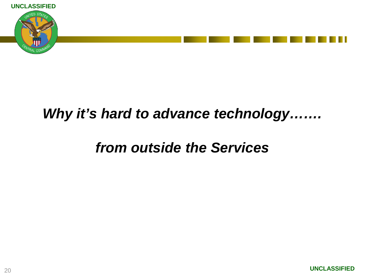

### *Why it's hard to advance technology…….*

### *from outside the Services*

**UNCLASSIFIED**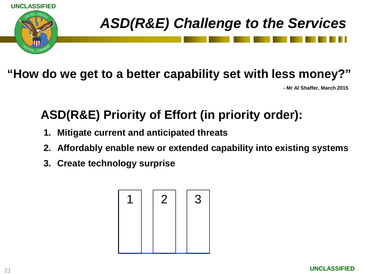

#### **"How do we get to a better capability set with less money?"**

**- Mr Al Shaffer, March 2015**

### **ASD(R&E) Priority of Effort (in priority order):**

- **1. Mitigate current and anticipated threats**
- **2. Affordably enable new or extended capability into existing systems**
- **3. Create technology surprise**

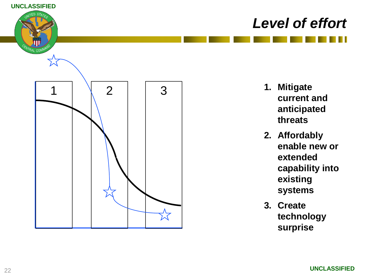

- **1. Mitigate current and anticipated threats**
- **2. Affordably enable new or extended capability into existing systems**
- **3. Create technology surprise**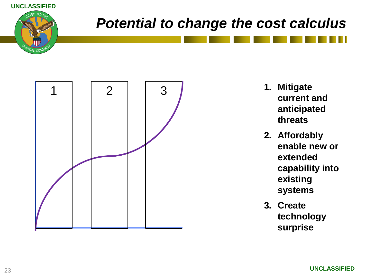

## *Potential to change the cost calculus*



- **1. Mitigate current and anticipated threats**
- **2. Affordably enable new or extended capability into existing systems**
- **3. Create technology surprise**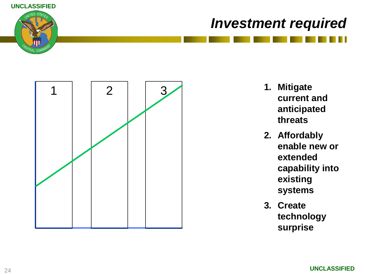

#### *Investment required*



- **1. Mitigate current and anticipated threats**
- **2. Affordably enable new or extended capability into existing systems**
- **3. Create technology surprise**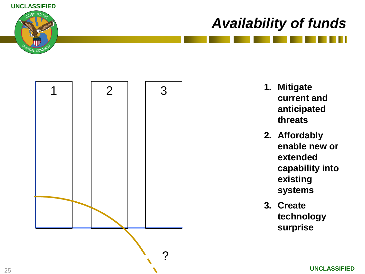

## *Availability of funds*



- **1. Mitigate current and anticipated threats**
- **2. Affordably enable new or extended capability into existing systems**
- **3. Create technology surprise**

**UNCLASSIFIED**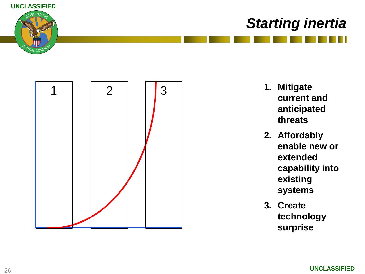

## *Starting inertia*



- **1. Mitigate current and anticipated threats**
- **2. Affordably enable new or extended capability into existing systems**
- **3. Create technology surprise**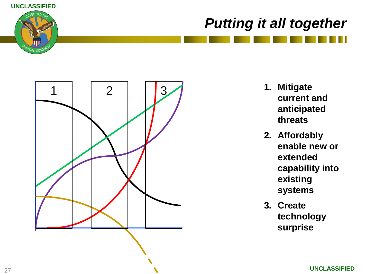

## *Putting it all together*



- **1. Mitigate current and anticipated threats**
- **2. Affordably enable new or extended capability into existing systems**
- **3. Create technology surprise**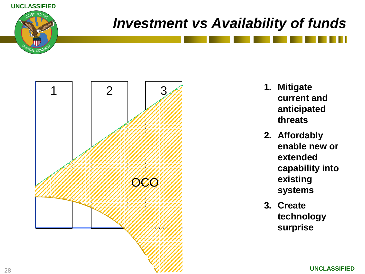

## *Investment vs Availability of funds*



- **1. Mitigate current and anticipated threats**
- **2. Affordably enable new or extended capability into existing systems**
- **3. Create technology surprise**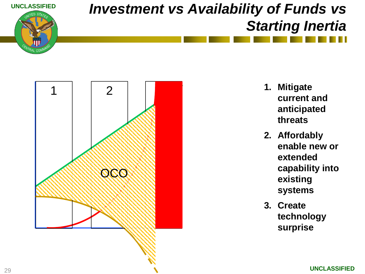

## *Investment vs Availability of Funds vs Starting Inertia*



- **1. Mitigate current and anticipated threats**
- **2. Affordably enable new or extended capability into existing systems**
- **3. Create technology surprise**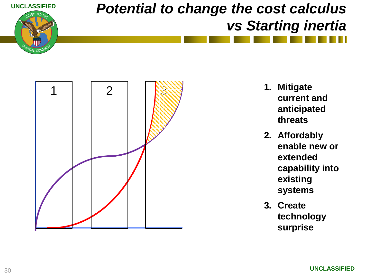



- **1. Mitigate current and anticipated threats**
- **2. Affordably enable new or extended capability into existing systems**
- **3. Create technology surprise**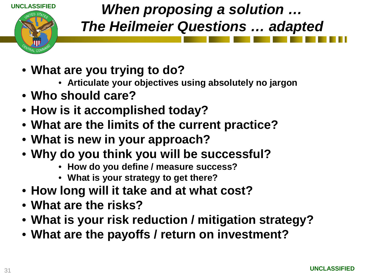

## *When proposing a solution … The Heilmeier Questions … adapted*

- **What are you trying to do?**
	- **Articulate your objectives using absolutely no jargon**
- **Who should care?**
- **How is it accomplished today?**
- **What are the limits of the current practice?**
- **What is new in your approach?**
- **Why do you think you will be successful?**
	- **How do you define / measure success?**
	- **What is your strategy to get there?**
- **How long will it take and at what cost?**
- **What are the risks?**
- **What is your risk reduction / mitigation strategy?**
- **What are the payoffs / return on investment?**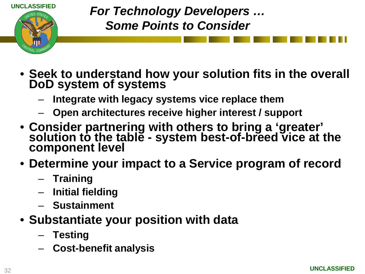

*For Technology Developers … Some Points to Consider*

- **Seek to understand how your solution fits in the overall DoD system of systems**
	- **Integrate with legacy systems vice replace them**
	- **Open architectures receive higher interest / support**
- **Consider partnering with others to bring a 'greater' solution to the table - system best-of-breed vice at the component level**
- **Determine your impact to a Service program of record**
	- **Training**
	- **Initial fielding**
	- **Sustainment**
- **Substantiate your position with data**
	- **Testing**
	- **Cost-benefit analysis**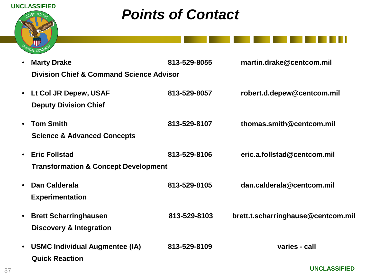

## *Points of Contact*

| $\bullet$ | <b>Marty Drake</b>                                  | 813-529-8055 | martin.drake@centcom.mil           |
|-----------|-----------------------------------------------------|--------------|------------------------------------|
|           | <b>Division Chief &amp; Command Science Advisor</b> |              |                                    |
|           | • Lt Col JR Depew, USAF                             | 813-529-8057 | robert.d.depew@centcom.mil         |
|           |                                                     |              |                                    |
|           | <b>Deputy Division Chief</b>                        |              |                                    |
| $\bullet$ | <b>Tom Smith</b>                                    | 813-529-8107 | thomas.smith@centcom.mil           |
|           | <b>Science &amp; Advanced Concepts</b>              |              |                                    |
|           |                                                     |              |                                    |
| $\bullet$ | <b>Eric Follstad</b>                                | 813-529-8106 | eric.a.follstad@centcom.mil        |
|           | <b>Transformation &amp; Concept Development</b>     |              |                                    |
| $\bullet$ | Dan Calderala                                       | 813-529-8105 | dan.calderala@centcom.mil          |
|           | <b>Experimentation</b>                              |              |                                    |
|           |                                                     |              |                                    |
| $\bullet$ | <b>Brett Scharringhausen</b>                        | 813-529-8103 | brett.t.scharringhause@centcom.mil |
|           | <b>Discovery &amp; Integration</b>                  |              |                                    |
| $\bullet$ | <b>USMC Individual Augmentee (IA)</b>               | 813-529-8109 | varies - call                      |
|           | <b>Quick Reaction</b>                               |              |                                    |
|           |                                                     |              |                                    |

**UNCLASSIFIED**